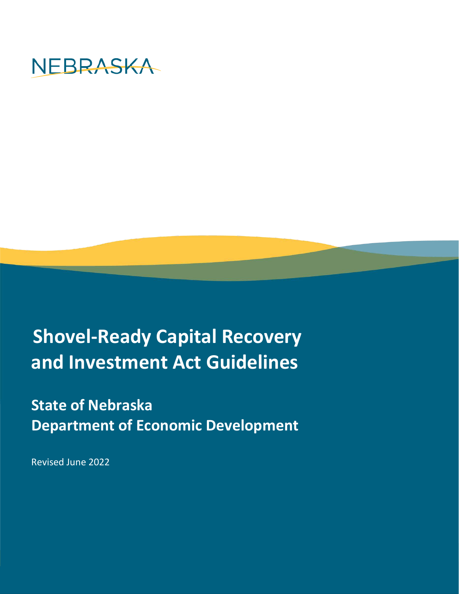

# **Shovel-Ready Capital Recovery and Investment Act Guidelines**

## **State of Nebraska Department of Economic Development**

Revised June 2022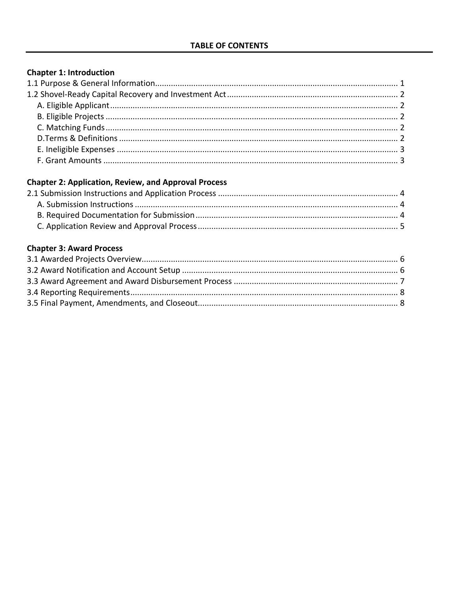## **Chapter 1: Introduction**

## **Chapter 2: Application, Review, and Approval Process**

## **Chapter 3: Award Process**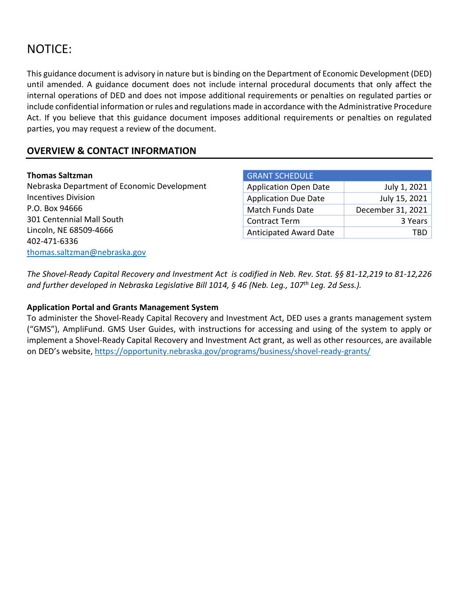## NOTICE:

This guidance document is advisory in nature but is binding on the Department of Economic Development (DED) until amended. A guidance document does not include internal procedural documents that only affect the internal operations of DED and does not impose additional requirements or penalties on regulated parties or include confidential information or rules and regulations made in accordance with the Administrative Procedure Act. If you believe that this guidance document imposes additional requirements or penalties on regulated parties, you may request a review of the document.

## **OVERVIEW & CONTACT INFORMATION**

#### **Thomas Saltzman**

Nebraska Department of Economic Development Incentives Division P.O. Box 94666 301 Centennial Mall South Lincoln, NE 68509-4666 402-471-6336 [thomas.saltzman@nebraska.gov](mailto:thomas.saltzman@nebraska.gov)

| <b>GRANT SCHEDULE</b>         |                   |
|-------------------------------|-------------------|
| <b>Application Open Date</b>  | July 1, 2021      |
| <b>Application Due Date</b>   | July 15, 2021     |
| <b>Match Funds Date</b>       | December 31, 2021 |
| <b>Contract Term</b>          | 3 Years           |
| <b>Anticipated Award Date</b> |                   |

*The Shovel-Ready Capital Recovery and Investment Act is codified in Neb. Rev. Stat. §§ 81-12,219 to 81-12,226 and further developed in Nebraska Legislative Bill 1014, § 46 (Neb. Leg., 107th Leg. 2d Sess.).*

#### **Application Portal and Grants Management System**

To administer the Shovel-Ready Capital Recovery and Investment Act, DED uses a grants management system ("GMS"), AmpliFund. GMS User Guides, with instructions for accessing and using of the system to apply or implement a Shovel-Ready Capital Recovery and Investment Act grant, as well as other resources, are available on DED's website, <https://opportunity.nebraska.gov/programs/business/shovel-ready-grants/>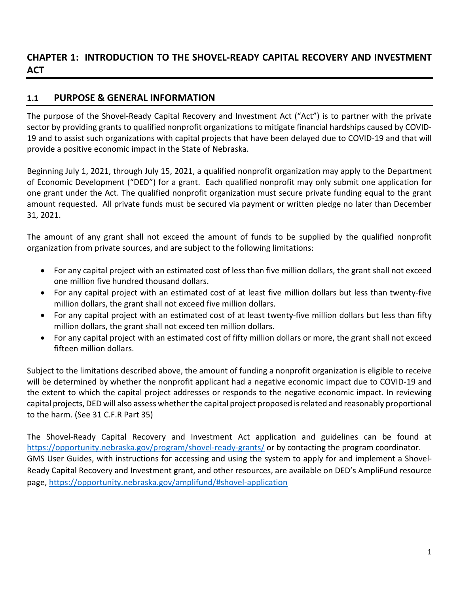## **CHAPTER 1: INTRODUCTION TO THE SHOVEL-READY CAPITAL RECOVERY AND INVESTMENT ACT**

## **1.1 PURPOSE & GENERAL INFORMATION**

The purpose of the Shovel-Ready Capital Recovery and Investment Act ("Act") is to partner with the private sector by providing grants to qualified nonprofit organizations to mitigate financial hardships caused by COVID-19 and to assist such organizations with capital projects that have been delayed due to COVID-19 and that will provide a positive economic impact in the State of Nebraska.

Beginning July 1, 2021, through July 15, 2021, a qualified nonprofit organization may apply to the Department of Economic Development ("DED") for a grant. Each qualified nonprofit may only submit one application for one grant under the Act. The qualified nonprofit organization must secure private funding equal to the grant amount requested. All private funds must be secured via payment or written pledge no later than December 31, 2021.

The amount of any grant shall not exceed the amount of funds to be supplied by the qualified nonprofit organization from private sources, and are subject to the following limitations:

- For any capital project with an estimated cost of less than five million dollars, the grant shall not exceed one million five hundred thousand dollars.
- For any capital project with an estimated cost of at least five million dollars but less than twenty-five million dollars, the grant shall not exceed five million dollars.
- For any capital project with an estimated cost of at least twenty-five million dollars but less than fifty million dollars, the grant shall not exceed ten million dollars.
- For any capital project with an estimated cost of fifty million dollars or more, the grant shall not exceed fifteen million dollars.

Subject to the limitations described above, the amount of funding a nonprofit organization is eligible to receive will be determined by whether the nonprofit applicant had a negative economic impact due to COVID-19 and the extent to which the capital project addresses or responds to the negative economic impact. In reviewing capital projects, DED will also assess whether the capital project proposed is related and reasonably proportional to the harm. (See 31 C.F.R Part 35)

The Shovel-Ready Capital Recovery and Investment Act application and guidelines can be found at <https://opportunity.nebraska.gov/program/shovel-ready-grants/> or by contacting the program coordinator. GMS User Guides, with instructions for accessing and using the system to apply for and implement a Shovel-Ready Capital Recovery and Investment grant, and other resources, are available on DED's AmpliFund resource page,<https://opportunity.nebraska.gov/amplifund/#shovel-application>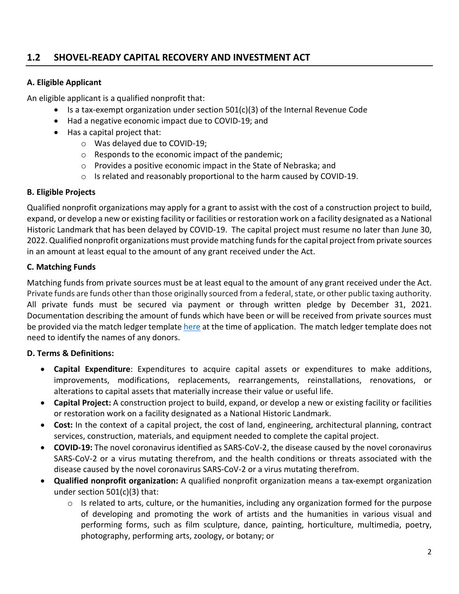## **1.2 SHOVEL-READY CAPITAL RECOVERY AND INVESTMENT ACT**

#### **A. Eligible Applicant**

An eligible applicant is a qualified nonprofit that:

- Is a tax-exempt organization under section  $501(c)(3)$  of the Internal Revenue Code
- Had a negative economic impact due to COVID-19; and
- Has a capital project that:
	- o Was delayed due to COVID-19;
	- o Responds to the economic impact of the pandemic;
	- o Provides a positive economic impact in the State of Nebraska; and
	- o Is related and reasonably proportional to the harm caused by COVID-19.

#### **B. Eligible Projects**

Qualified nonprofit organizations may apply for a grant to assist with the cost of a construction project to build, expand, or develop a new or existing facility or facilities or restoration work on a facility designated as a National Historic Landmark that has been delayed by COVID-19. The capital project must resume no later than June 30, 2022.Qualified nonprofit organizations must provide matching funds for the capital project from private sources in an amount at least equal to the amount of any grant received under the Act.

#### **C. Matching Funds**

Matching funds from private sources must be at least equal to the amount of any grant received under the Act. Private funds are funds other than those originally sourced from a federal, state, or other public taxing authority. All private funds must be secured via payment or through written pledge by December 31, 2021. Documentation describing the amount of funds which have been or will be received from private sources must be provided via the match ledger template [here](https://opportunity.nebraska.gov/program/shovel-ready-grants/) at the time of application. The match ledger template does not need to identify the names of any donors.

#### **D. Terms & Definitions:**

- **Capital Expenditure**: Expenditures to acquire capital assets or expenditures to make additions, improvements, modifications, replacements, rearrangements, reinstallations, renovations, or alterations to capital assets that materially increase their value or useful life.
- **Capital Project:** A construction project to build, expand, or develop a new or existing facility or facilities or restoration work on a facility designated as a National Historic Landmark.
- **Cost:** In the context of a capital project, the cost of land, engineering, architectural planning, contract services, construction, materials, and equipment needed to complete the capital project.
- **COVID-19:** The novel coronavirus identified as SARS-CoV-2, the disease caused by the novel coronavirus SARS-CoV-2 or a virus mutating therefrom, and the health conditions or threats associated with the disease caused by the novel coronavirus SARS-CoV-2 or a virus mutating therefrom.
- **Qualified nonprofit organization:** A qualified nonprofit organization means a tax-exempt organization under section 501(c)(3) that:
	- o Is related to arts, culture, or the humanities, including any organization formed for the purpose of developing and promoting the work of artists and the humanities in various visual and performing forms, such as film sculpture, dance, painting, horticulture, multimedia, poetry, photography, performing arts, zoology, or botany; or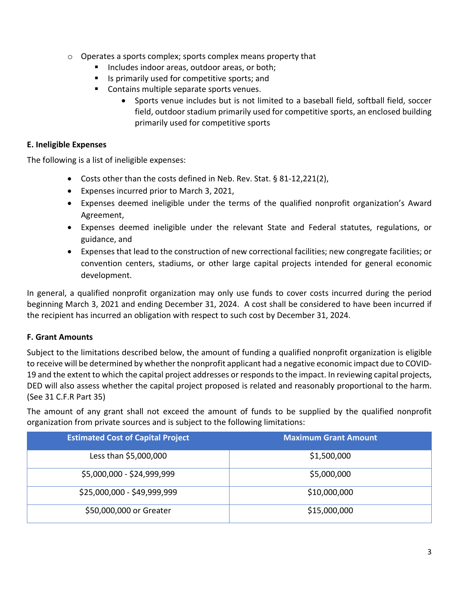- o Operates a sports complex; sports complex means property that
	- **Includes indoor areas, outdoor areas, or both;**
	- Is primarily used for competitive sports; and
	- **Contains multiple separate sports venues.** 
		- Sports venue includes but is not limited to a baseball field, softball field, soccer field, outdoor stadium primarily used for competitive sports, an enclosed building primarily used for competitive sports

### **E. Ineligible Expenses**

The following is a list of ineligible expenses:

- Costs other than the costs defined in Neb. Rev. Stat. § 81-12,221(2),
- Expenses incurred prior to March 3, 2021,
- Expenses deemed ineligible under the terms of the qualified nonprofit organization's Award Agreement,
- Expenses deemed ineligible under the relevant State and Federal statutes, regulations, or guidance, and
- Expenses that lead to the construction of new correctional facilities; new congregate facilities; or convention centers, stadiums, or other large capital projects intended for general economic development.

In general, a qualified nonprofit organization may only use funds to cover costs incurred during the period beginning March 3, 2021 and ending December 31, 2024. A cost shall be considered to have been incurred if the recipient has incurred an obligation with respect to such cost by December 31, 2024.

## **F. Grant Amounts**

Subject to the limitations described below, the amount of funding a qualified nonprofit organization is eligible to receive will be determined by whether the nonprofit applicant had a negative economic impact due to COVID-19 and the extent to which the capital project addresses or responds to the impact. In reviewing capital projects, DED will also assess whether the capital project proposed is related and reasonably proportional to the harm. (See 31 C.F.R Part 35)

The amount of any grant shall not exceed the amount of funds to be supplied by the qualified nonprofit organization from private sources and is subject to the following limitations:

| <b>Estimated Cost of Capital Project</b> | <b>Maximum Grant Amount</b> |
|------------------------------------------|-----------------------------|
| Less than \$5,000,000                    | \$1,500,000                 |
| \$5,000,000 - \$24,999,999               | \$5,000,000                 |
| \$25,000,000 - \$49,999,999              | \$10,000,000                |
| \$50,000,000 or Greater                  | \$15,000,000                |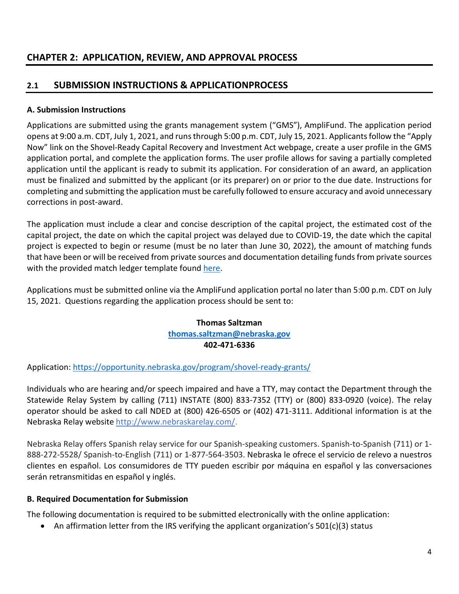## **CHAPTER 2: APPLICATION, REVIEW, AND APPROVAL PROCESS**

## **2.1 SUBMISSION INSTRUCTIONS & APPLICATIONPROCESS**

### **A. Submission Instructions**

Applications are submitted using the grants management system ("GMS"), AmpliFund. The application period opens at 9:00 a.m. CDT, July 1, 2021, and runsthrough 5:00 p.m. CDT, July 15, 2021. Applicants follow the "Apply Now" link on the Shovel-Ready Capital Recovery and Investment Act webpage, create a user profile in the GMS application portal, and complete the application forms. The user profile allows for saving a partially completed application until the applicant is ready to submit its application. For consideration of an award, an application must be finalized and submitted by the applicant (or its preparer) on or prior to the due date. Instructions for completing and submitting the application must be carefully followed to ensure accuracy and avoid unnecessary corrections in post-award.

The application must include a clear and concise description of the capital project, the estimated cost of the capital project, the date on which the capital project was delayed due to COVID-19, the date which the capital project is expected to begin or resume (must be no later than June 30, 2022), the amount of matching funds that have been or will be received from private sources and documentation detailing funds from private sources with the provided match ledger template found [here.](https://opportunity.nebraska.gov/program/shovel-ready-grants/)

Applications must be submitted online via the AmpliFund application portal no later than 5:00 p.m. CDT on July 15, 2021. Questions regarding the application process should be sent to:

#### **Thomas Saltzman [thomas.saltzman@nebraska.gov](mailto:thomas.saltzman@nebraska.gov) 402-471-6336**

Application:<https://opportunity.nebraska.gov/program/shovel-ready-grants/>

Individuals who are hearing and/or speech impaired and have a TTY, may contact the Department through the Statewide Relay System by calling (711) INSTATE (800) 833-7352 (TTY) or (800) 833-0920 (voice). The relay operator should be asked to call NDED at (800) 426-6505 or (402) 471-3111. Additional information is at the Nebraska Relay websit[e http://www.nebraskarelay.com/.](http://www.nebraskarelay.com/)

Nebraska Relay offers Spanish relay service for our Spanish-speaking customers. Spanish-to-Spanish (711) or 1- 888-272-5528/ Spanish-to-English (711) or 1-877-564-3503. Nebraska le ofrece el servicio de relevo a nuestros clientes en español. Los consumidores de TTY pueden escribir por máquina en español y las conversaciones serán retransmitidas en español y inglés.

#### **B. Required Documentation for Submission**

The following documentation is required to be submitted electronically with the online application:

• An affirmation letter from the IRS verifying the applicant organization's 501(c)(3) status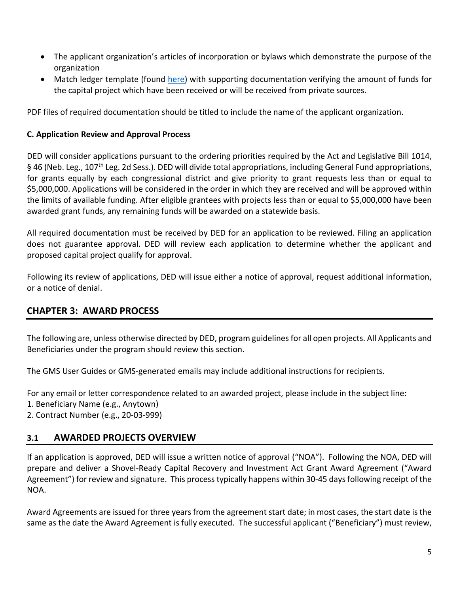- The applicant organization's articles of incorporation or bylaws which demonstrate the purpose of the organization
- Match ledger template (found [here\)](https://opportunity.nebraska.gov/program/shovel-ready-grants/) with supporting documentation verifying the amount of funds for the capital project which have been received or will be received from private sources.

PDF files of required documentation should be titled to include the name of the applicant organization.

#### **C. Application Review and Approval Process**

DED will consider applications pursuant to the ordering priorities required by the Act and Legislative Bill 1014, § 46 (Neb. Leg., 107<sup>th</sup> Leg. 2d Sess.). DED will divide total appropriations, including General Fund appropriations, for grants equally by each congressional district and give priority to grant requests less than or equal to \$5,000,000. Applications will be considered in the order in which they are received and will be approved within the limits of available funding. After eligible grantees with projects less than or equal to \$5,000,000 have been awarded grant funds, any remaining funds will be awarded on a statewide basis.

All required documentation must be received by DED for an application to be reviewed. Filing an application does not guarantee approval. DED will review each application to determine whether the applicant and proposed capital project qualify for approval.

Following its review of applications, DED will issue either a notice of approval, request additional information, or a notice of denial.

## **CHAPTER 3: AWARD PROCESS**

The following are, unless otherwise directed by DED, program guidelines for all open projects. All Applicants and Beneficiaries under the program should review this section.

The GMS User Guides or GMS-generated emails may include additional instructions for recipients.

For any email or letter correspondence related to an awarded project, please include in the subject line:

- 1. Beneficiary Name (e.g., Anytown)
- 2. Contract Number (e.g., 20-03-999)

## **3.1 AWARDED PROJECTS OVERVIEW**

If an application is approved, DED will issue a written notice of approval ("NOA"). Following the NOA, DED will prepare and deliver a Shovel-Ready Capital Recovery and Investment Act Grant Award Agreement ("Award Agreement") for review and signature. This process typically happens within 30-45 days following receipt of the NOA.

Award Agreements are issued for three years from the agreement start date; in most cases, the start date is the same as the date the Award Agreement is fully executed. The successful applicant ("Beneficiary") must review,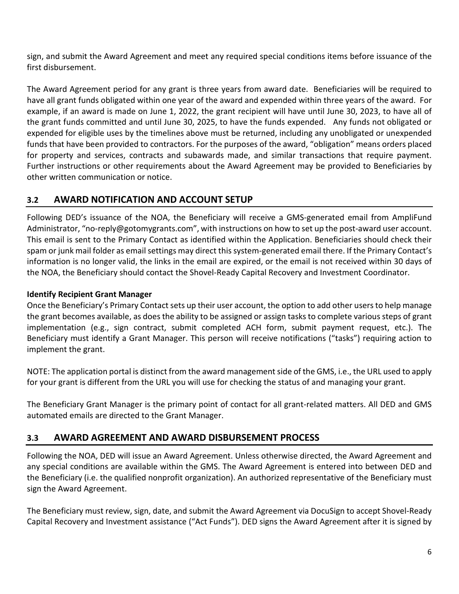sign, and submit the Award Agreement and meet any required special conditions items before issuance of the first disbursement.

The Award Agreement period for any grant is three years from award date. Beneficiaries will be required to have all grant funds obligated within one year of the award and expended within three years of the award. For example, if an award is made on June 1, 2022, the grant recipient will have until June 30, 2023, to have all of the grant funds committed and until June 30, 2025, to have the funds expended. Any funds not obligated or expended for eligible uses by the timelines above must be returned, including any unobligated or unexpended funds that have been provided to contractors. For the purposes of the award, "obligation" means orders placed for property and services, contracts and subawards made, and similar transactions that require payment. Further instructions or other requirements about the Award Agreement may be provided to Beneficiaries by other written communication or notice.

## **3.2 AWARD NOTIFICATION AND ACCOUNT SETUP**

Following DED's issuance of the NOA, the Beneficiary will receive a GMS-generated email from AmpliFund Administrator, "no-reply@gotomygrants.com", with instructions on how to set up the post-award user account. This email is sent to the Primary Contact as identified within the Application. Beneficiaries should check their spam or junk mail folder as email settings may direct this system-generated email there. If the Primary Contact's information is no longer valid, the links in the email are expired, or the email is not received within 30 days of the NOA, the Beneficiary should contact the Shovel-Ready Capital Recovery and Investment Coordinator.

## **Identify Recipient Grant Manager**

Once the Beneficiary's Primary Contact sets up their user account, the option to add other users to help manage the grant becomes available, as does the ability to be assigned or assign tasks to complete various steps of grant implementation (e.g., sign contract, submit completed ACH form, submit payment request, etc.). The Beneficiary must identify a Grant Manager. This person will receive notifications ("tasks") requiring action to implement the grant.

NOTE: The application portal is distinct from the award management side of the GMS, i.e., the URL used to apply for your grant is different from the URL you will use for checking the status of and managing your grant.

The Beneficiary Grant Manager is the primary point of contact for all grant-related matters. All DED and GMS automated emails are directed to the Grant Manager.

## **3.3 AWARD AGREEMENT AND AWARD DISBURSEMENT PROCESS**

Following the NOA, DED will issue an Award Agreement. Unless otherwise directed, the Award Agreement and any special conditions are available within the GMS. The Award Agreement is entered into between DED and the Beneficiary (i.e. the qualified nonprofit organization). An authorized representative of the Beneficiary must sign the Award Agreement.

The Beneficiary must review, sign, date, and submit the Award Agreement via DocuSign to accept Shovel-Ready Capital Recovery and Investment assistance ("Act Funds"). DED signs the Award Agreement after it is signed by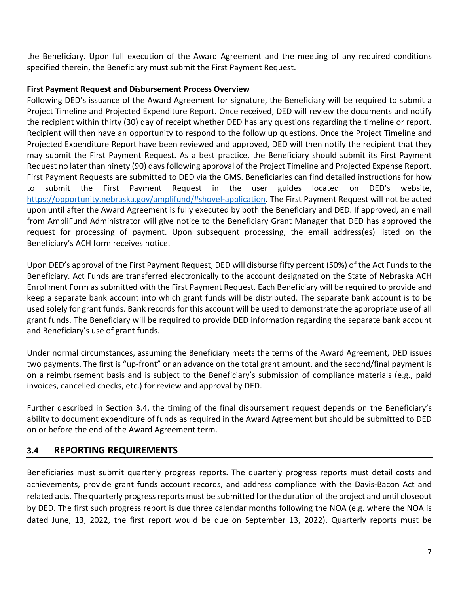the Beneficiary. Upon full execution of the Award Agreement and the meeting of any required conditions specified therein, the Beneficiary must submit the First Payment Request.

#### **First Payment Request and Disbursement Process Overview**

Following DED's issuance of the Award Agreement for signature, the Beneficiary will be required to submit a Project Timeline and Projected Expenditure Report. Once received, DED will review the documents and notify the recipient within thirty (30) day of receipt whether DED has any questions regarding the timeline or report. Recipient will then have an opportunity to respond to the follow up questions. Once the Project Timeline and Projected Expenditure Report have been reviewed and approved, DED will then notify the recipient that they may submit the First Payment Request. As a best practice, the Beneficiary should submit its First Payment Request no later than ninety (90) daysfollowing approval of the Project Timeline and Projected Expense Report. First Payment Requests are submitted to DED via the GMS. Beneficiaries can find detailed instructions for how to submit the First Payment Request in the user guides located on DED's website, [https://opportunity.nebraska.gov/amplifund/#shovel-application.](https://opportunity.nebraska.gov/amplifund/%23shovel-application) The First Payment Request will not be acted upon until after the Award Agreement is fully executed by both the Beneficiary and DED. If approved, an email from AmpliFund Administrator will give notice to the Beneficiary Grant Manager that DED has approved the request for processing of payment. Upon subsequent processing, the email address(es) listed on the Beneficiary's ACH form receives notice.

Upon DED's approval of the First Payment Request, DED will disburse fifty percent (50%) of the Act Funds to the Beneficiary. Act Funds are transferred electronically to the account designated on the State of Nebraska ACH Enrollment Form as submitted with the First Payment Request. Each Beneficiary will be required to provide and keep a separate bank account into which grant funds will be distributed. The separate bank account is to be used solely for grant funds. Bank records for this account will be used to demonstrate the appropriate use of all grant funds. The Beneficiary will be required to provide DED information regarding the separate bank account and Beneficiary's use of grant funds.

Under normal circumstances, assuming the Beneficiary meets the terms of the Award Agreement, DED issues two payments. The first is "up-front" or an advance on the total grant amount, and the second/final payment is on a reimbursement basis and is subject to the Beneficiary's submission of compliance materials (e.g., paid invoices, cancelled checks, etc.) for review and approval by DED.

Further described in Section 3.4, the timing of the final disbursement request depends on the Beneficiary's ability to document expenditure of funds as required in the Award Agreement but should be submitted to DED on or before the end of the Award Agreement term.

## **3.4 REPORTING REQUIREMENTS**

Beneficiaries must submit quarterly progress reports. The quarterly progress reports must detail costs and achievements, provide grant funds account records, and address compliance with the Davis-Bacon Act and related acts. The quarterly progress reports must be submitted for the duration of the project and until closeout by DED. The first such progress report is due three calendar months following the NOA (e.g. where the NOA is dated June, 13, 2022, the first report would be due on September 13, 2022). Quarterly reports must be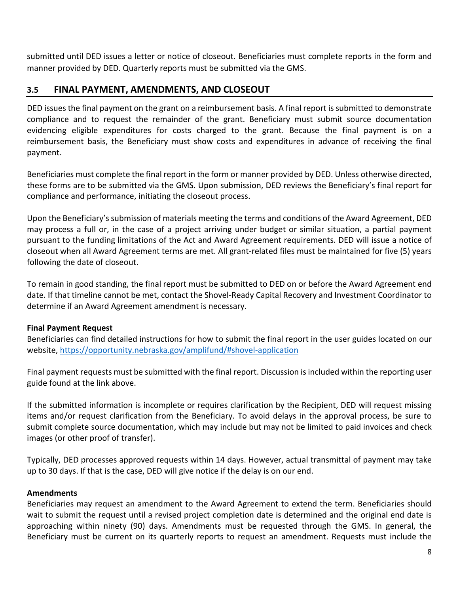submitted until DED issues a letter or notice of closeout. Beneficiaries must complete reports in the form and manner provided by DED. Quarterly reports must be submitted via the GMS.

## **3.5 FINAL PAYMENT, AMENDMENTS, AND CLOSEOUT**

DED issues the final payment on the grant on a reimbursement basis. A final report is submitted to demonstrate compliance and to request the remainder of the grant. Beneficiary must submit source documentation evidencing eligible expenditures for costs charged to the grant. Because the final payment is on a reimbursement basis, the Beneficiary must show costs and expenditures in advance of receiving the final payment.

Beneficiaries must complete the final report in the form or manner provided by DED. Unless otherwise directed, these forms are to be submitted via the GMS. Upon submission, DED reviews the Beneficiary's final report for compliance and performance, initiating the closeout process.

Upon the Beneficiary's submission of materials meeting the terms and conditions of the Award Agreement, DED may process a full or, in the case of a project arriving under budget or similar situation, a partial payment pursuant to the funding limitations of the Act and Award Agreement requirements. DED will issue a notice of closeout when all Award Agreement terms are met. All grant-related files must be maintained for five (5) years following the date of closeout.

To remain in good standing, the final report must be submitted to DED on or before the Award Agreement end date. If that timeline cannot be met, contact the Shovel-Ready Capital Recovery and Investment Coordinator to determine if an Award Agreement amendment is necessary.

#### **Final Payment Request**

Beneficiaries can find detailed instructions for how to submit the final report in the user guides located on our website, [https://opportunity.nebraska.gov/amplifund/#shovel-application](https://opportunity.nebraska.gov/amplifund/%23shovel-application)

Final payment requests must be submitted with the final report. Discussion is included within the reporting user guide found at the link above.

If the submitted information is incomplete or requires clarification by the Recipient, DED will request missing items and/or request clarification from the Beneficiary. To avoid delays in the approval process, be sure to submit complete source documentation, which may include but may not be limited to paid invoices and check images (or other proof of transfer).

Typically, DED processes approved requests within 14 days. However, actual transmittal of payment may take up to 30 days. If that is the case, DED will give notice if the delay is on our end.

#### **Amendments**

Beneficiaries may request an amendment to the Award Agreement to extend the term. Beneficiaries should wait to submit the request until a revised project completion date is determined and the original end date is approaching within ninety (90) days. Amendments must be requested through the GMS. In general, the Beneficiary must be current on its quarterly reports to request an amendment. Requests must include the